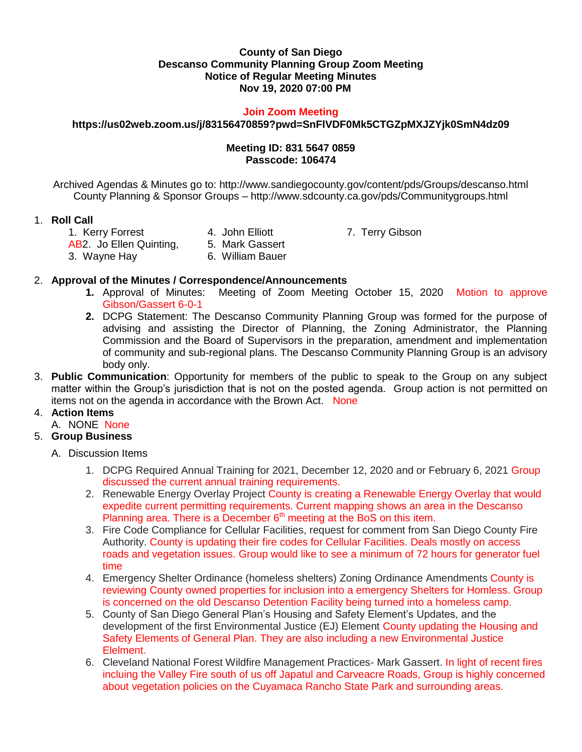### **County of San Diego Descanso Community Planning Group Zoom Meeting Notice of Regular Meeting Minutes Nov 19, 2020 07:00 PM**

#### **Join Zoom Meeting**

### **https://us02web.zoom.us/j/83156470859?pwd=SnFlVDF0Mk5CTGZpMXJZYjk0SmN4dz09**

### **Meeting ID: 831 5647 0859 Passcode: 106474**

Archived Agendas & Minutes go to: http://www.sandiegocounty.gov/content/pds/Groups/descanso.html County Planning & Sponsor Groups – http://www.sdcounty.ca.gov/pds/Communitygroups.html

# 1. **Roll Call**

1. Kerry Forrest **4. John Elliott** 7. Terry Gibson AB2. Jo Ellen Quinting, 5. Mark Gassert

3. Wayne Hay 6. William Bauer

# 2. **Approval of the Minutes / Correspondence/Announcements**

- **1.** Approval of Minutes: Meeting of Zoom Meeting October 15, 2020 Motion to approve Gibson/Gassert 6-0-1
- **2.** DCPG Statement: The Descanso Community Planning Group was formed for the purpose of advising and assisting the Director of Planning, the Zoning Administrator, the Planning Commission and the Board of Supervisors in the preparation, amendment and implementation of community and sub-regional plans. The Descanso Community Planning Group is an advisory body only.
- 3. **Public Communication**: Opportunity for members of the public to speak to the Group on any subject matter within the Group's jurisdiction that is not on the posted agenda. Group action is not permitted on items not on the agenda in accordance with the Brown Act. None

# 4. **Action Items**

A. NONE None

# 5. **Group Business**

- A. Discussion Items
	- 1. DCPG Required Annual Training for 2021, December 12, 2020 and or February 6, 2021 Group discussed the current annual training requirements.
	- 2. Renewable Energy Overlay Project County is creating a Renewable Energy Overlay that would expedite current permitting requirements. Current mapping shows an area in the Descanso Planning area. There is a December  $6<sup>th</sup>$  meeting at the BoS on this item.
	- 3. Fire Code Compliance for Cellular Facilities, request for comment from San Diego County Fire Authority. County is updating their fire codes for Cellular Facilities. Deals mostly on access roads and vegetation issues. Group would like to see a minimum of 72 hours for generator fuel time
	- 4. Emergency Shelter Ordinance (homeless shelters) Zoning Ordinance Amendments County is reviewing County owned properties for inclusion into a emergency Shelters for Homless. Group is concerned on the old Descanso Detention Facility being turned into a homeless camp.
	- 5. County of San Diego General Plan's Housing and Safety Element's Updates, and the development of the first Environmental Justice (EJ) Element County updating the Housing and Safety Elements of General Plan. They are also including a new Environmental Justice Elelment.
	- 6. Cleveland National Forest Wildfire Management Practices- Mark Gassert. In light of recent fires incluing the Valley Fire south of us off Japatul and Carveacre Roads, Group is highly concerned about vegetation policies on the Cuyamaca Rancho State Park and surrounding areas.